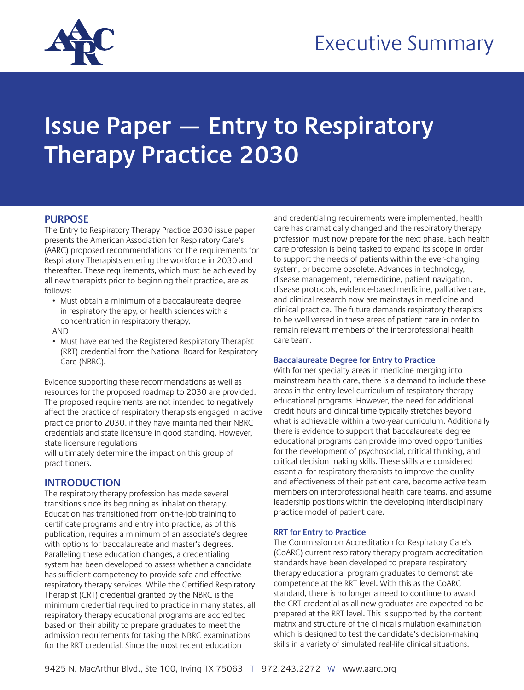

# Executive Summary

# **Issue Paper — Entry to Respiratory Therapy Practice 2030**

## **PURPOSE**

The Entry to Respiratory Therapy Practice 2030 issue paper presents the American Association for Respiratory Care's (AARC) proposed recommendations for the requirements for Respiratory Therapists entering the workforce in 2030 and thereafter. These requirements, which must be achieved by all new therapists prior to beginning their practice, are as follows:

- Must obtain a minimum of a baccalaureate degree in respiratory therapy, or health sciences with a concentration in respiratory therapy,
- AND
- Must have earned the Registered Respiratory Therapist (RRT) credential from the National Board for Respiratory Care (NBRC).

Evidence supporting these recommendations as well as resources for the proposed roadmap to 2030 are provided. The proposed requirements are not intended to negatively affect the practice of respiratory therapists engaged in active practice prior to 2030, if they have maintained their NBRC credentials and state licensure in good standing. However, state licensure regulations

will ultimately determine the impact on this group of practitioners.

## **INTRODUCTION**

The respiratory therapy profession has made several transitions since its beginning as inhalation therapy. Education has transitioned from on-the-job training to certificate programs and entry into practice, as of this publication, requires a minimum of an associate's degree with options for baccalaureate and master's degrees. Paralleling these education changes, a credentialing system has been developed to assess whether a candidate has sufficient competency to provide safe and effective respiratory therapy services. While the Certified Respiratory Therapist (CRT) credential granted by the NBRC is the minimum credential required to practice in many states, all respiratory therapy educational programs are accredited based on their ability to prepare graduates to meet the admission requirements for taking the NBRC examinations for the RRT credential. Since the most recent education

and credentialing requirements were implemented, health care has dramatically changed and the respiratory therapy profession must now prepare for the next phase. Each health care profession is being tasked to expand its scope in order to support the needs of patients within the ever-changing system, or become obsolete. Advances in technology, disease management, telemedicine, patient navigation, disease protocols, evidence-based medicine, palliative care, and clinical research now are mainstays in medicine and clinical practice. The future demands respiratory therapists to be well versed in these areas of patient care in order to remain relevant members of the interprofessional health care team.

#### **Baccalaureate Degree for Entry to Practice**

With former specialty areas in medicine merging into mainstream health care, there is a demand to include these areas in the entry level curriculum of respiratory therapy educational programs. However, the need for additional credit hours and clinical time typically stretches beyond what is achievable within a two-year curriculum. Additionally there is evidence to support that baccalaureate degree educational programs can provide improved opportunities for the development of psychosocial, critical thinking, and critical decision making skills. These skills are considered essential for respiratory therapists to improve the quality and effectiveness of their patient care, become active team members on interprofessional health care teams, and assume leadership positions within the developing interdisciplinary practice model of patient care.

#### **RRT for Entry to Practice**

The Commission on Accreditation for Respiratory Care's (CoARC) current respiratory therapy program accreditation standards have been developed to prepare respiratory therapy educational program graduates to demonstrate competence at the RRT level. With this as the CoARC standard, there is no longer a need to continue to award the CRT credential as all new graduates are expected to be prepared at the RRT level. This is supported by the content matrix and structure of the clinical simulation examination which is designed to test the candidate's decision-making skills in a variety of simulated real-life clinical situations.